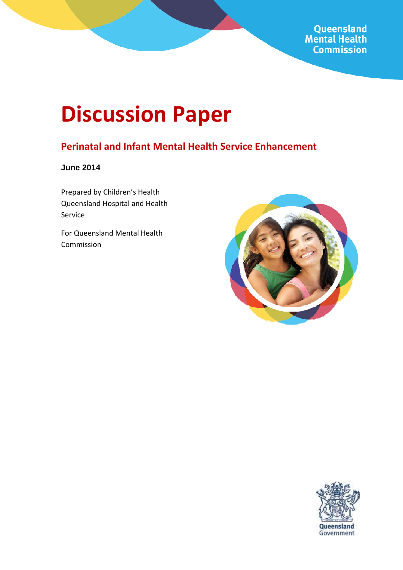Queensland **Mental Health Commission** 

# **Discussion Paper**

### **Perinatal and Infant Mental Health Service Enhancement**

**June 2014** 

Prepared by Children's Health Queensland Hospital and Health Service

For Queensland Mental Health Commission



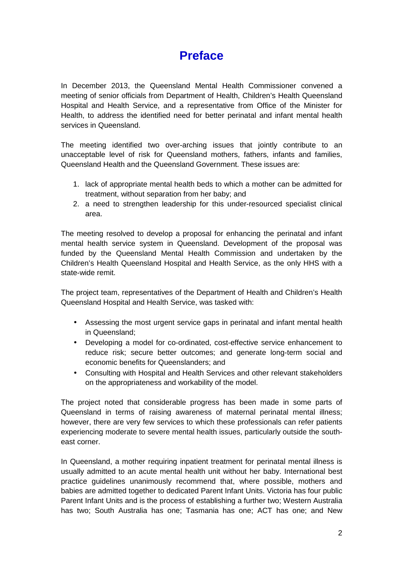# **Preface**

In December 2013, the Queensland Mental Health Commissioner convened a meeting of senior officials from Department of Health, Children's Health Queensland Hospital and Health Service, and a representative from Office of the Minister for Health, to address the identified need for better perinatal and infant mental health services in Queensland.

The meeting identified two over-arching issues that jointly contribute to an unacceptable level of risk for Queensland mothers, fathers, infants and families, Queensland Health and the Queensland Government. These issues are:

- 1. lack of appropriate mental health beds to which a mother can be admitted for treatment, without separation from her baby; and
- 2. a need to strengthen leadership for this under-resourced specialist clinical area.

The meeting resolved to develop a proposal for enhancing the perinatal and infant mental health service system in Queensland. Development of the proposal was funded by the Queensland Mental Health Commission and undertaken by the Children's Health Queensland Hospital and Health Service, as the only HHS with a state-wide remit.

The project team, representatives of the Department of Health and Children's Health Queensland Hospital and Health Service, was tasked with:

- Assessing the most urgent service gaps in perinatal and infant mental health in Queensland;
- Developing a model for co-ordinated, cost-effective service enhancement to reduce risk; secure better outcomes; and generate long-term social and economic benefits for Queenslanders; and
- Consulting with Hospital and Health Services and other relevant stakeholders on the appropriateness and workability of the model.

The project noted that considerable progress has been made in some parts of Queensland in terms of raising awareness of maternal perinatal mental illness; however, there are very few services to which these professionals can refer patients experiencing moderate to severe mental health issues, particularly outside the southeast corner.

In Queensland, a mother requiring inpatient treatment for perinatal mental illness is usually admitted to an acute mental health unit without her baby. International best practice guidelines unanimously recommend that, where possible, mothers and babies are admitted together to dedicated Parent Infant Units. Victoria has four public Parent Infant Units and is the process of establishing a further two; Western Australia has two; South Australia has one; Tasmania has one; ACT has one; and New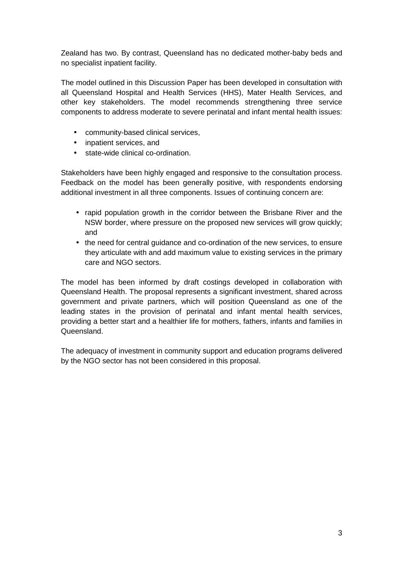Zealand has two. By contrast, Queensland has no dedicated mother-baby beds and no specialist inpatient facility.

The model outlined in this Discussion Paper has been developed in consultation with all Queensland Hospital and Health Services (HHS), Mater Health Services, and other key stakeholders. The model recommends strengthening three service components to address moderate to severe perinatal and infant mental health issues:

- community-based clinical services,
- inpatient services, and
- state-wide clinical co-ordination.

Stakeholders have been highly engaged and responsive to the consultation process. Feedback on the model has been generally positive, with respondents endorsing additional investment in all three components. Issues of continuing concern are:

- rapid population growth in the corridor between the Brisbane River and the NSW border, where pressure on the proposed new services will grow quickly; and
- the need for central guidance and co-ordination of the new services, to ensure they articulate with and add maximum value to existing services in the primary care and NGO sectors.

The model has been informed by draft costings developed in collaboration with Queensland Health. The proposal represents a significant investment, shared across government and private partners, which will position Queensland as one of the leading states in the provision of perinatal and infant mental health services, providing a better start and a healthier life for mothers, fathers, infants and families in Queensland.

The adequacy of investment in community support and education programs delivered by the NGO sector has not been considered in this proposal.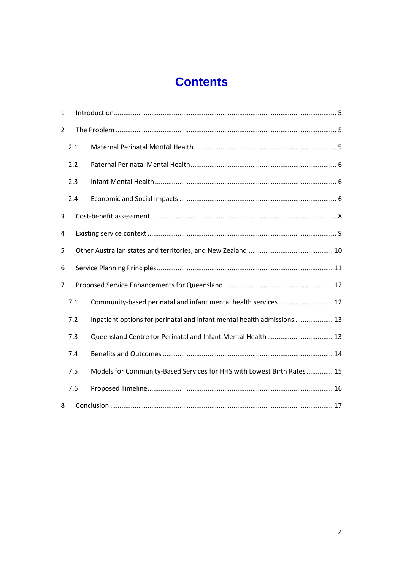# **Contents**

| 1   |     |                                                                         |  |  |  |  |
|-----|-----|-------------------------------------------------------------------------|--|--|--|--|
| 2   |     |                                                                         |  |  |  |  |
| 2.1 |     |                                                                         |  |  |  |  |
| 2.2 |     |                                                                         |  |  |  |  |
|     | 2.3 |                                                                         |  |  |  |  |
|     | 2.4 |                                                                         |  |  |  |  |
| 3   |     |                                                                         |  |  |  |  |
| 4   |     |                                                                         |  |  |  |  |
| 5   |     |                                                                         |  |  |  |  |
| 6   |     |                                                                         |  |  |  |  |
| 7   |     |                                                                         |  |  |  |  |
|     | 7.1 | Community-based perinatal and infant mental health services 12          |  |  |  |  |
|     | 7.2 | Inpatient options for perinatal and infant mental health admissions  13 |  |  |  |  |
|     | 7.3 |                                                                         |  |  |  |  |
| 7.4 |     |                                                                         |  |  |  |  |
|     | 7.5 | Models for Community-Based Services for HHS with Lowest Birth Rates  15 |  |  |  |  |
|     | 7.6 |                                                                         |  |  |  |  |
| 8   |     |                                                                         |  |  |  |  |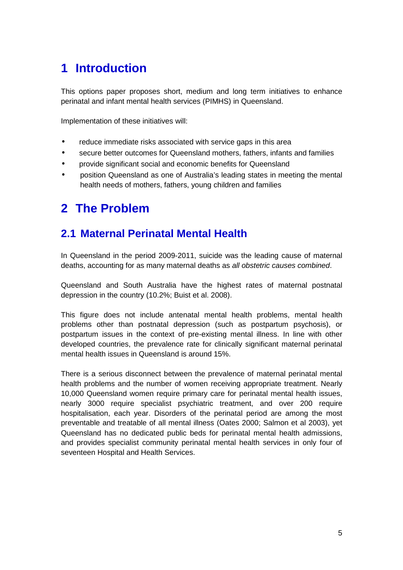# **1 Introduction**

This options paper proposes short, medium and long term initiatives to enhance perinatal and infant mental health services (PIMHS) in Queensland.

Implementation of these initiatives will:

- reduce immediate risks associated with service gaps in this area
- secure better outcomes for Queensland mothers, fathers, infants and families
- provide significant social and economic benefits for Queensland
- position Queensland as one of Australia's leading states in meeting the mental health needs of mothers, fathers, young children and families

# **2 The Problem**

### **2.1 Maternal Perinatal Mental Health**

In Queensland in the period 2009-2011, suicide was the leading cause of maternal deaths, accounting for as many maternal deaths as all obstetric causes combined.

Queensland and South Australia have the highest rates of maternal postnatal depression in the country (10.2%; Buist et al. 2008).

This figure does not include antenatal mental health problems, mental health problems other than postnatal depression (such as postpartum psychosis), or postpartum issues in the context of pre-existing mental illness. In line with other developed countries, the prevalence rate for clinically significant maternal perinatal mental health issues in Queensland is around 15%.

There is a serious disconnect between the prevalence of maternal perinatal mental health problems and the number of women receiving appropriate treatment. Nearly 10,000 Queensland women require primary care for perinatal mental health issues, nearly 3000 require specialist psychiatric treatment, and over 200 require hospitalisation, each year. Disorders of the perinatal period are among the most preventable and treatable of all mental illness (Oates 2000; Salmon et al 2003), yet Queensland has no dedicated public beds for perinatal mental health admissions, and provides specialist community perinatal mental health services in only four of seventeen Hospital and Health Services.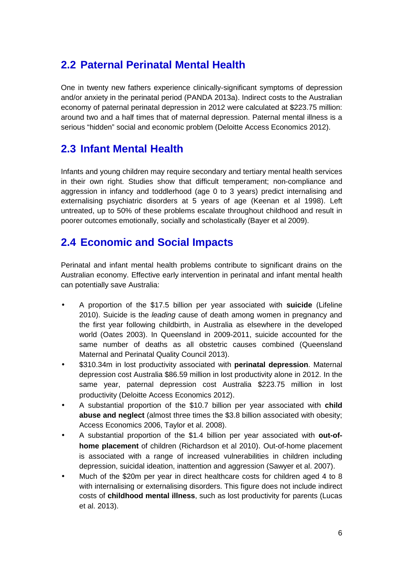### **2.2 Paternal Perinatal Mental Health**

One in twenty new fathers experience clinically-significant symptoms of depression and/or anxiety in the perinatal period (PANDA 2013a). Indirect costs to the Australian economy of paternal perinatal depression in 2012 were calculated at \$223.75 million: around two and a half times that of maternal depression. Paternal mental illness is a serious "hidden" social and economic problem (Deloitte Access Economics 2012).

### **2.3 Infant Mental Health**

Infants and young children may require secondary and tertiary mental health services in their own right. Studies show that difficult temperament; non-compliance and aggression in infancy and toddlerhood (age 0 to 3 years) predict internalising and externalising psychiatric disorders at 5 years of age (Keenan et al 1998). Left untreated, up to 50% of these problems escalate throughout childhood and result in poorer outcomes emotionally, socially and scholastically (Bayer et al 2009).

### **2.4 Economic and Social Impacts**

Perinatal and infant mental health problems contribute to significant drains on the Australian economy. Effective early intervention in perinatal and infant mental health can potentially save Australia:

- A proportion of the \$17.5 billion per year associated with **suicide** (Lifeline 2010). Suicide is the *leading* cause of death among women in pregnancy and the first year following childbirth, in Australia as elsewhere in the developed world (Oates 2003). In Queensland in 2009-2011, suicide accounted for the same number of deaths as all obstetric causes combined (Queensland Maternal and Perinatal Quality Council 2013).
- \$310.34m in lost productivity associated with **perinatal depression**. Maternal depression cost Australia \$86.59 million in lost productivity alone in 2012. In the same year, paternal depression cost Australia \$223.75 million in lost productivity (Deloitte Access Economics 2012).
- A substantial proportion of the \$10.7 billion per year associated with **child abuse and neglect** (almost three times the \$3.8 billion associated with obesity; Access Economics 2006, Taylor et al. 2008).
- A substantial proportion of the \$1.4 billion per year associated with **out-ofhome placement** of children (Richardson et al 2010). Out-of-home placement is associated with a range of increased vulnerabilities in children including depression, suicidal ideation, inattention and aggression (Sawyer et al. 2007).
- Much of the \$20m per year in direct healthcare costs for children aged 4 to 8 with internalising or externalising disorders. This figure does not include indirect costs of **childhood mental illness**, such as lost productivity for parents (Lucas et al. 2013).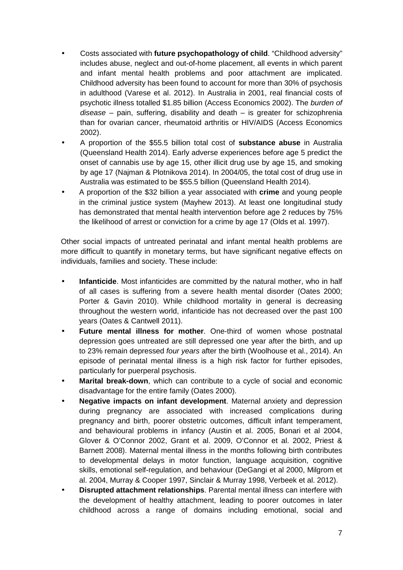- Costs associated with **future psychopathology of child**. "Childhood adversity" includes abuse, neglect and out-of-home placement, all events in which parent and infant mental health problems and poor attachment are implicated. Childhood adversity has been found to account for more than 30% of psychosis in adulthood (Varese et al. 2012). In Australia in 2001, real financial costs of psychotic illness totalled \$1.85 billion (Access Economics 2002). The burden of disease – pain, suffering, disability and death – is greater for schizophrenia than for ovarian cancer, rheumatoid arthritis or HIV/AIDS (Access Economics 2002).
- A proportion of the \$55.5 billion total cost of **substance abuse** in Australia (Queensland Health 2014). Early adverse experiences before age 5 predict the onset of cannabis use by age 15, other illicit drug use by age 15, and smoking by age 17 (Najman & Plotnikova 2014). In 2004/05, the total cost of drug use in Australia was estimated to be \$55.5 billion (Queensland Health 2014).
- A proportion of the \$32 billion a year associated with **crime** and young people in the criminal justice system (Mayhew 2013). At least one longitudinal study has demonstrated that mental health intervention before age 2 reduces by 75% the likelihood of arrest or conviction for a crime by age 17 (Olds et al. 1997).

Other social impacts of untreated perinatal and infant mental health problems are more difficult to quantify in monetary terms, but have significant negative effects on individuals, families and society. These include:

- **Infanticide**. Most infanticides are committed by the natural mother, who in half of all cases is suffering from a severe health mental disorder (Oates 2000; Porter & Gavin 2010). While childhood mortality in general is decreasing throughout the western world, infanticide has not decreased over the past 100 years (Oates & Cantwell 2011).
- **Future mental illness for mother**. One-third of women whose postnatal depression goes untreated are still depressed one year after the birth, and up to 23% remain depressed four years after the birth (Woolhouse et al., 2014). An episode of perinatal mental illness is a high risk factor for further episodes, particularly for puerperal psychosis.
- **Marital break-down**, which can contribute to a cycle of social and economic disadvantage for the entire family (Oates 2000).
- **Negative impacts on infant development**. Maternal anxiety and depression during pregnancy are associated with increased complications during pregnancy and birth, poorer obstetric outcomes, difficult infant temperament, and behavioural problems in infancy (Austin et al. 2005, Bonari et al 2004, Glover & O'Connor 2002, Grant et al. 2009, O'Connor et al. 2002, Priest & Barnett 2008). Maternal mental illness in the months following birth contributes to developmental delays in motor function, language acquisition, cognitive skills, emotional self-regulation, and behaviour (DeGangi et al 2000, Milgrom et al. 2004, Murray & Cooper 1997, Sinclair & Murray 1998, Verbeek et al. 2012).
- **Disrupted attachment relationships**. Parental mental illness can interfere with the development of healthy attachment, leading to poorer outcomes in later childhood across a range of domains including emotional, social and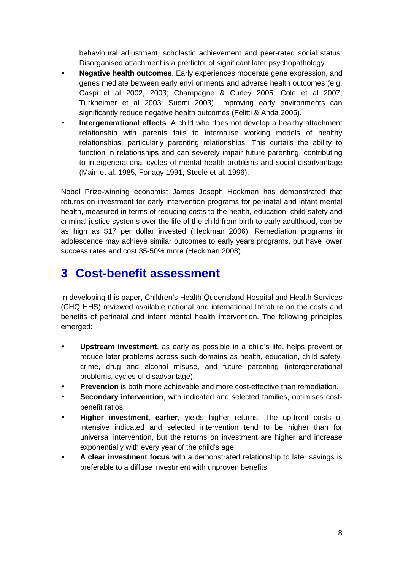behavioural adjustment, scholastic achievement and peer-rated social status. Disorganised attachment is a predictor of significant later psychopathology.

- **Negative health outcomes**. Early experiences moderate gene expression, and genes mediate between early environments and adverse health outcomes (e.g. Caspi et al 2002, 2003; Champagne & Curley 2005; Cole et al 2007; Turkheimer et al 2003; Suomi 2003). Improving early environments can significantly reduce negative health outcomes (Felitti & Anda 2005).
- **Intergenerational effects**. A child who does not develop a healthy attachment relationship with parents fails to internalise working models of healthy relationships, particularly parenting relationships. This curtails the ability to function in relationships and can severely impair future parenting, contributing to intergenerational cycles of mental health problems and social disadvantage (Main et al. 1985, Fonagy 1991, Steele et al. 1996).

Nobel Prize-winning economist James Joseph Heckman has demonstrated that returns on investment for early intervention programs for perinatal and infant mental health, measured in terms of reducing costs to the health, education, child safety and criminal justice systems over the life of the child from birth to early adulthood, can be as high as \$17 per dollar invested (Heckman 2006). Remediation programs in adolescence may achieve similar outcomes to early years programs, but have lower success rates and cost 35-50% more (Heckman 2008).

# **3 Cost-benefit assessment**

In developing this paper, Children's Health Queensland Hospital and Health Services (CHQ HHS) reviewed available national and international literature on the costs and benefits of perinatal and infant mental health intervention. The following principles emerged:

- **Upstream investment**, as early as possible in a child's life, helps prevent or reduce later problems across such domains as health, education, child safety, crime, drug and alcohol misuse, and future parenting (intergenerational problems, cycles of disadvantage).
- **Prevention** is both more achievable and more cost-effective than remediation.
- **Secondary intervention**, with indicated and selected families, optimises costbenefit ratios.
- **Higher investment, earlier**, yields higher returns. The up-front costs of intensive indicated and selected intervention tend to be higher than for universal intervention, but the returns on investment are higher and increase exponentially with every year of the child's age.
- **A clear investment focus** with a demonstrated relationship to later savings is preferable to a diffuse investment with unproven benefits.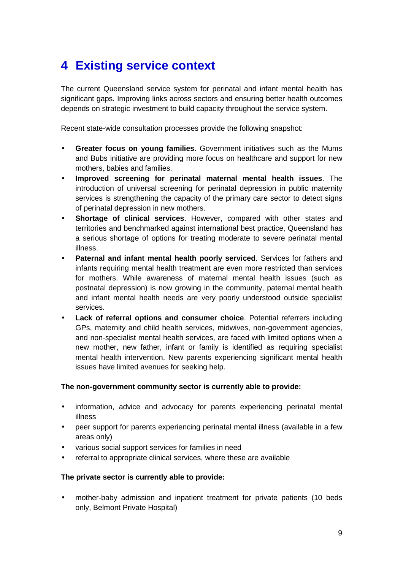# **4 Existing service context**

The current Queensland service system for perinatal and infant mental health has significant gaps. Improving links across sectors and ensuring better health outcomes depends on strategic investment to build capacity throughout the service system.

Recent state-wide consultation processes provide the following snapshot:

- **Greater focus on young families**. Government initiatives such as the Mums and Bubs initiative are providing more focus on healthcare and support for new mothers, babies and families.
- **Improved screening for perinatal maternal mental health issues**. The introduction of universal screening for perinatal depression in public maternity services is strengthening the capacity of the primary care sector to detect signs of perinatal depression in new mothers.
- **Shortage of clinical services**. However, compared with other states and territories and benchmarked against international best practice, Queensland has a serious shortage of options for treating moderate to severe perinatal mental illness.
- **Paternal and infant mental health poorly serviced**. Services for fathers and infants requiring mental health treatment are even more restricted than services for mothers. While awareness of maternal mental health issues (such as postnatal depression) is now growing in the community, paternal mental health and infant mental health needs are very poorly understood outside specialist services.
- **Lack of referral options and consumer choice.** Potential referrers including GPs, maternity and child health services, midwives, non-government agencies, and non-specialist mental health services, are faced with limited options when a new mother, new father, infant or family is identified as requiring specialist mental health intervention. New parents experiencing significant mental health issues have limited avenues for seeking help.

#### **The non-government community sector is currently able to provide:**

- information, advice and advocacy for parents experiencing perinatal mental illness
- peer support for parents experiencing perinatal mental illness (available in a few areas only)
- various social support services for families in need
- referral to appropriate clinical services, where these are available

#### **The private sector is currently able to provide:**

• mother-baby admission and inpatient treatment for private patients (10 beds only, Belmont Private Hospital)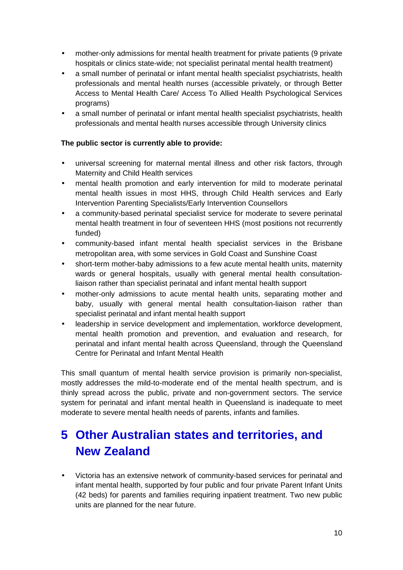- mother-only admissions for mental health treatment for private patients (9 private hospitals or clinics state-wide; not specialist perinatal mental health treatment)
- a small number of perinatal or infant mental health specialist psychiatrists, health professionals and mental health nurses (accessible privately, or through Better Access to Mental Health Care/ Access To Allied Health Psychological Services programs)
- a small number of perinatal or infant mental health specialist psychiatrists, health professionals and mental health nurses accessible through University clinics

#### **The public sector is currently able to provide:**

- universal screening for maternal mental illness and other risk factors, through Maternity and Child Health services
- mental health promotion and early intervention for mild to moderate perinatal mental health issues in most HHS, through Child Health services and Early Intervention Parenting Specialists/Early Intervention Counsellors
- a community-based perinatal specialist service for moderate to severe perinatal mental health treatment in four of seventeen HHS (most positions not recurrently funded)
- community-based infant mental health specialist services in the Brisbane metropolitan area, with some services in Gold Coast and Sunshine Coast
- short-term mother-baby admissions to a few acute mental health units, maternity wards or general hospitals, usually with general mental health consultationliaison rather than specialist perinatal and infant mental health support
- mother-only admissions to acute mental health units, separating mother and baby, usually with general mental health consultation-liaison rather than specialist perinatal and infant mental health support
- leadership in service development and implementation, workforce development, mental health promotion and prevention, and evaluation and research, for perinatal and infant mental health across Queensland, through the Queensland Centre for Perinatal and Infant Mental Health

This small quantum of mental health service provision is primarily non-specialist, mostly addresses the mild-to-moderate end of the mental health spectrum, and is thinly spread across the public, private and non-government sectors. The service system for perinatal and infant mental health in Queensland is inadequate to meet moderate to severe mental health needs of parents, infants and families.

# **5 Other Australian states and territories, and New Zealand**

• Victoria has an extensive network of community-based services for perinatal and infant mental health, supported by four public and four private Parent Infant Units (42 beds) for parents and families requiring inpatient treatment. Two new public units are planned for the near future.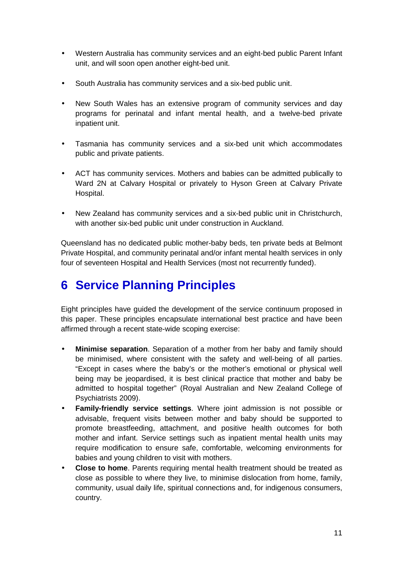- Western Australia has community services and an eight-bed public Parent Infant unit, and will soon open another eight-bed unit.
- South Australia has community services and a six-bed public unit.
- New South Wales has an extensive program of community services and day programs for perinatal and infant mental health, and a twelve-bed private inpatient unit.
- Tasmania has community services and a six-bed unit which accommodates public and private patients.
- ACT has community services. Mothers and babies can be admitted publically to Ward 2N at Calvary Hospital or privately to Hyson Green at Calvary Private Hospital.
- New Zealand has community services and a six-bed public unit in Christchurch, with another six-bed public unit under construction in Auckland.

Queensland has no dedicated public mother-baby beds, ten private beds at Belmont Private Hospital, and community perinatal and/or infant mental health services in only four of seventeen Hospital and Health Services (most not recurrently funded).

# **6 Service Planning Principles**

Eight principles have guided the development of the service continuum proposed in this paper. These principles encapsulate international best practice and have been affirmed through a recent state-wide scoping exercise:

- **Minimise separation**. Separation of a mother from her baby and family should be minimised, where consistent with the safety and well-being of all parties. "Except in cases where the baby's or the mother's emotional or physical well being may be jeopardised, it is best clinical practice that mother and baby be admitted to hospital together" (Royal Australian and New Zealand College of Psychiatrists 2009).
- **Family-friendly service settings**. Where joint admission is not possible or advisable, frequent visits between mother and baby should be supported to promote breastfeeding, attachment, and positive health outcomes for both mother and infant. Service settings such as inpatient mental health units may require modification to ensure safe, comfortable, welcoming environments for babies and young children to visit with mothers.
- **Close to home**. Parents requiring mental health treatment should be treated as close as possible to where they live, to minimise dislocation from home, family, community, usual daily life, spiritual connections and, for indigenous consumers, country.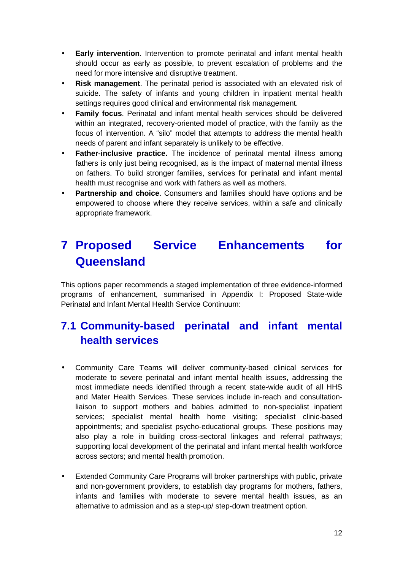- **Early intervention**. Intervention to promote perinatal and infant mental health should occur as early as possible, to prevent escalation of problems and the need for more intensive and disruptive treatment.
- **Risk management**. The perinatal period is associated with an elevated risk of suicide. The safety of infants and young children in inpatient mental health settings requires good clinical and environmental risk management.
- **Family focus**. Perinatal and infant mental health services should be delivered within an integrated, recovery-oriented model of practice, with the family as the focus of intervention. A "silo" model that attempts to address the mental health needs of parent and infant separately is unlikely to be effective.
- **Father-inclusive practice.** The incidence of perinatal mental illness among fathers is only just being recognised, as is the impact of maternal mental illness on fathers. To build stronger families, services for perinatal and infant mental health must recognise and work with fathers as well as mothers.
- **Partnership and choice**. Consumers and families should have options and be empowered to choose where they receive services, within a safe and clinically appropriate framework.

# **7 Proposed Service Enhancements for Queensland**

This options paper recommends a staged implementation of three evidence-informed programs of enhancement, summarised in Appendix I: Proposed State-wide Perinatal and Infant Mental Health Service Continuum:

# **7.1 Community-based perinatal and infant mental health services**

- Community Care Teams will deliver community-based clinical services for moderate to severe perinatal and infant mental health issues, addressing the most immediate needs identified through a recent state-wide audit of all HHS and Mater Health Services. These services include in-reach and consultationliaison to support mothers and babies admitted to non-specialist inpatient services; specialist mental health home visiting; specialist clinic-based appointments; and specialist psycho-educational groups. These positions may also play a role in building cross-sectoral linkages and referral pathways; supporting local development of the perinatal and infant mental health workforce across sectors; and mental health promotion.
- Extended Community Care Programs will broker partnerships with public, private and non-government providers, to establish day programs for mothers, fathers, infants and families with moderate to severe mental health issues, as an alternative to admission and as a step-up/ step-down treatment option.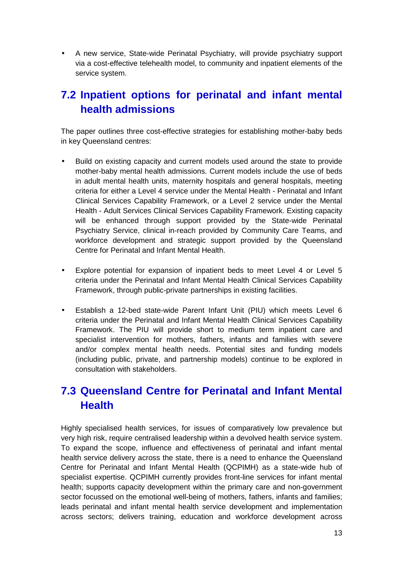• A new service, State-wide Perinatal Psychiatry, will provide psychiatry support via a cost-effective telehealth model, to community and inpatient elements of the service system.

### **7.2 Inpatient options for perinatal and infant mental health admissions**

The paper outlines three cost-effective strategies for establishing mother-baby beds in key Queensland centres:

- Build on existing capacity and current models used around the state to provide mother-baby mental health admissions. Current models include the use of beds in adult mental health units, maternity hospitals and general hospitals, meeting criteria for either a Level 4 service under the Mental Health - Perinatal and Infant Clinical Services Capability Framework, or a Level 2 service under the Mental Health - Adult Services Clinical Services Capability Framework. Existing capacity will be enhanced through support provided by the State-wide Perinatal Psychiatry Service, clinical in-reach provided by Community Care Teams, and workforce development and strategic support provided by the Queensland Centre for Perinatal and Infant Mental Health.
- Explore potential for expansion of inpatient beds to meet Level 4 or Level 5 criteria under the Perinatal and Infant Mental Health Clinical Services Capability Framework, through public-private partnerships in existing facilities.
- Establish a 12-bed state-wide Parent Infant Unit (PIU) which meets Level 6 criteria under the Perinatal and Infant Mental Health Clinical Services Capability Framework. The PIU will provide short to medium term inpatient care and specialist intervention for mothers, fathers, infants and families with severe and/or complex mental health needs. Potential sites and funding models (including public, private, and partnership models) continue to be explored in consultation with stakeholders.

### **7.3 Queensland Centre for Perinatal and Infant Mental Health**

Highly specialised health services, for issues of comparatively low prevalence but very high risk, require centralised leadership within a devolved health service system. To expand the scope, influence and effectiveness of perinatal and infant mental health service delivery across the state, there is a need to enhance the Queensland Centre for Perinatal and Infant Mental Health (QCPIMH) as a state-wide hub of specialist expertise. QCPIMH currently provides front-line services for infant mental health; supports capacity development within the primary care and non-government sector focussed on the emotional well-being of mothers, fathers, infants and families; leads perinatal and infant mental health service development and implementation across sectors; delivers training, education and workforce development across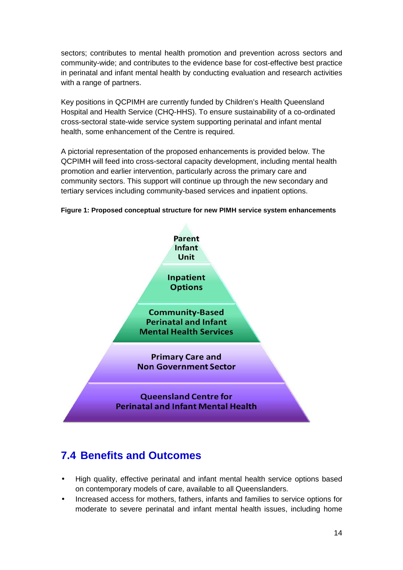sectors; contributes to mental health promotion and prevention across sectors and community-wide; and contributes to the evidence base for cost-effective best practice in perinatal and infant mental health by conducting evaluation and research activities with a range of partners.

Key positions in QCPIMH are currently funded by Children's Health Queensland Hospital and Health Service (CHQ-HHS). To ensure sustainability of a co-ordinated cross-sectoral state-wide service system supporting perinatal and infant mental health, some enhancement of the Centre is required.

A pictorial representation of the proposed enhancements is provided below. The QCPIMH will feed into cross-sectoral capacity development, including mental health promotion and earlier intervention, particularly across the primary care and community sectors. This support will continue up through the new secondary and tertiary services including community-based services and inpatient options.



**Figure 1: Proposed conceptual structure for new PIMH service system enhancements** 

### **7.4 Benefits and Outcomes**

- High quality, effective perinatal and infant mental health service options based on contemporary models of care, available to all Queenslanders.
- Increased access for mothers, fathers, infants and families to service options for moderate to severe perinatal and infant mental health issues, including home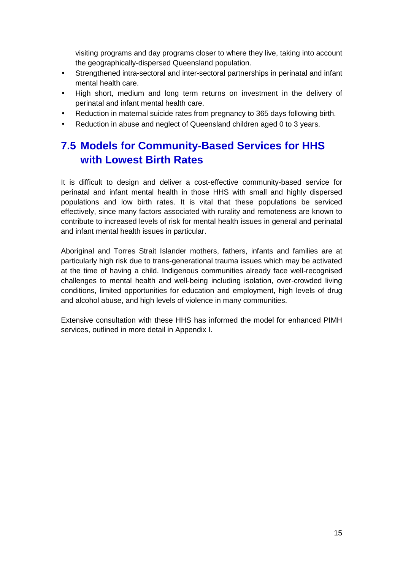visiting programs and day programs closer to where they live, taking into account the geographically-dispersed Queensland population.

- Strengthened intra-sectoral and inter-sectoral partnerships in perinatal and infant mental health care.
- High short, medium and long term returns on investment in the delivery of perinatal and infant mental health care.
- Reduction in maternal suicide rates from pregnancy to 365 days following birth.
- Reduction in abuse and neglect of Queensland children aged 0 to 3 years.

### **7.5 Models for Community-Based Services for HHS with Lowest Birth Rates**

It is difficult to design and deliver a cost-effective community-based service for perinatal and infant mental health in those HHS with small and highly dispersed populations and low birth rates. It is vital that these populations be serviced effectively, since many factors associated with rurality and remoteness are known to contribute to increased levels of risk for mental health issues in general and perinatal and infant mental health issues in particular.

Aboriginal and Torres Strait Islander mothers, fathers, infants and families are at particularly high risk due to trans-generational trauma issues which may be activated at the time of having a child. Indigenous communities already face well-recognised challenges to mental health and well-being including isolation, over-crowded living conditions, limited opportunities for education and employment, high levels of drug and alcohol abuse, and high levels of violence in many communities.

Extensive consultation with these HHS has informed the model for enhanced PIMH services, outlined in more detail in Appendix I.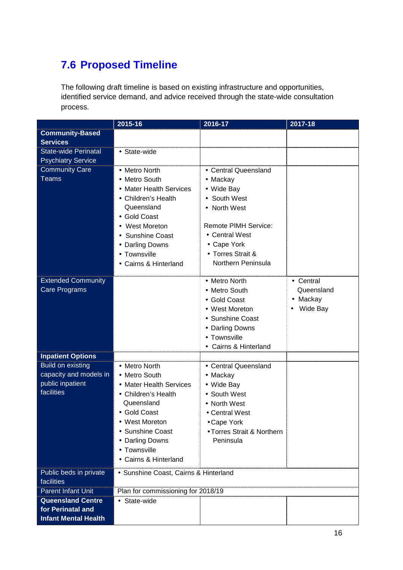# **7.6 Proposed Timeline**

The following draft timeline is based on existing infrastructure and opportunities, identified service demand, and advice received through the state-wide consultation process.

|                                                                                      | $2015 - 16$                                                                                                                                                                                                           | 2016-17                                                                                                                                                                                 | $2017 - 18$                                   |
|--------------------------------------------------------------------------------------|-----------------------------------------------------------------------------------------------------------------------------------------------------------------------------------------------------------------------|-----------------------------------------------------------------------------------------------------------------------------------------------------------------------------------------|-----------------------------------------------|
| <b>Community-Based</b>                                                               |                                                                                                                                                                                                                       |                                                                                                                                                                                         |                                               |
| <b>Services</b><br><b>State-wide Perinatal</b>                                       | • State-wide                                                                                                                                                                                                          |                                                                                                                                                                                         |                                               |
| <b>Psychiatry Service</b>                                                            |                                                                                                                                                                                                                       |                                                                                                                                                                                         |                                               |
| <b>Community Care</b><br><b>Teams</b>                                                | • Metro North<br>• Metro South<br>• Mater Health Services<br>• Children's Health<br>Queensland<br>• Gold Coast<br>• West Moreton<br><b>Sunshine Coast</b><br>• Darling Downs<br>• Townsville<br>• Cairns & Hinterland | • Central Queensland<br>• Mackay<br>• Wide Bay<br>South West<br>• North West<br><b>Remote PIMH Service:</b><br>• Central West<br>• Cape York<br>• Torres Strait &<br>Northern Peninsula |                                               |
| <b>Extended Community</b><br><b>Care Programs</b>                                    |                                                                                                                                                                                                                       | • Metro North<br>• Metro South<br>• Gold Coast<br>• West Moreton<br>• Sunshine Coast<br>• Darling Downs<br>• Townsville<br>• Cairns & Hinterland                                        | • Central<br>Queensland<br>Mackay<br>Wide Bay |
| <b>Inpatient Options</b>                                                             |                                                                                                                                                                                                                       |                                                                                                                                                                                         |                                               |
| <b>Build on existing</b><br>capacity and models in<br>public inpatient<br>facilities | • Metro North<br>• Metro South<br>• Mater Health Services<br>• Children's Health<br>Queensland<br>• Gold Coast<br><b>West Moreton</b><br>• Sunshine Coast<br>• Darling Downs<br>• Townsville<br>• Cairns & Hinterland | • Central Queensland<br>• Mackay<br>• Wide Bay<br>• South West<br>• North West<br>• Central West<br>• Cape York<br>• Torres Strait & Northern<br>Peninsula                              |                                               |
| Public beds in private<br>facilities                                                 | • Sunshine Coast, Cairns & Hinterland                                                                                                                                                                                 |                                                                                                                                                                                         |                                               |
| <b>Parent Infant Unit</b>                                                            | Plan for commissioning for 2018/19                                                                                                                                                                                    |                                                                                                                                                                                         |                                               |
| <b>Queensland Centre</b><br>for Perinatal and<br><b>Infant Mental Health</b>         | • State-wide                                                                                                                                                                                                          |                                                                                                                                                                                         |                                               |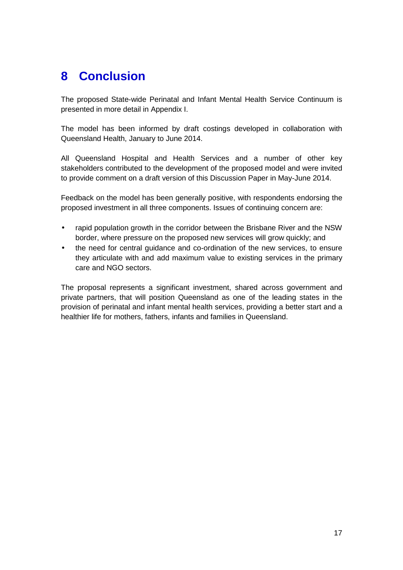# **8 Conclusion**

The proposed State-wide Perinatal and Infant Mental Health Service Continuum is presented in more detail in Appendix I.

The model has been informed by draft costings developed in collaboration with Queensland Health, January to June 2014.

All Queensland Hospital and Health Services and a number of other key stakeholders contributed to the development of the proposed model and were invited to provide comment on a draft version of this Discussion Paper in May-June 2014.

Feedback on the model has been generally positive, with respondents endorsing the proposed investment in all three components. Issues of continuing concern are:

- rapid population growth in the corridor between the Brisbane River and the NSW border, where pressure on the proposed new services will grow quickly; and
- the need for central guidance and co-ordination of the new services, to ensure they articulate with and add maximum value to existing services in the primary care and NGO sectors.

The proposal represents a significant investment, shared across government and private partners, that will position Queensland as one of the leading states in the provision of perinatal and infant mental health services, providing a better start and a healthier life for mothers, fathers, infants and families in Queensland.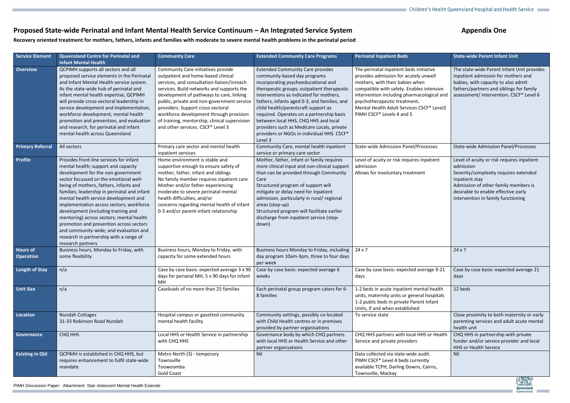### Proposed State-wide Perinatal and Infant Mental Health Service Continuum - An Integrated Service System

T.

# **Appendix One**



**Recovery oriented treatment for mothers, fathers, infants and families with moderate to severe mental health problems in the perinatal period** 

| <b>Service Element</b>              | <b>Queensland Centre for Perinatal and</b><br><b>Infant Mental Health</b>                                                                                                                                                                                                                                                                                                                                                                                                                                                                                                             | <b>Community Care</b>                                                                                                                                                                                                                                                                                                                                                                                                               | <b>Extended Community Care Programs</b>                                                                                                                                                                                                                                                                                                                                                                                                                                                    | <b>Perinatal Inpatient Beds</b>                                                                                                                                                                                                                                                                                          | <b>State-wide Parent Infant Unit</b>                                                                                                                                                                                                    |
|-------------------------------------|---------------------------------------------------------------------------------------------------------------------------------------------------------------------------------------------------------------------------------------------------------------------------------------------------------------------------------------------------------------------------------------------------------------------------------------------------------------------------------------------------------------------------------------------------------------------------------------|-------------------------------------------------------------------------------------------------------------------------------------------------------------------------------------------------------------------------------------------------------------------------------------------------------------------------------------------------------------------------------------------------------------------------------------|--------------------------------------------------------------------------------------------------------------------------------------------------------------------------------------------------------------------------------------------------------------------------------------------------------------------------------------------------------------------------------------------------------------------------------------------------------------------------------------------|--------------------------------------------------------------------------------------------------------------------------------------------------------------------------------------------------------------------------------------------------------------------------------------------------------------------------|-----------------------------------------------------------------------------------------------------------------------------------------------------------------------------------------------------------------------------------------|
| Overview                            | QCPIMH supports all sectors and all<br>proposed service elements in the Perinatal<br>and Infant Mental Health service system.<br>As the state-wide hub of perinatal and<br>infant mental health expertise, QCPIMH<br>will provide cross-sectoral leadership in<br>service development and implementation,<br>workforce development, mental health<br>promotion and prevention, and evaluation<br>and research, for perinatal and infant<br>mental health across Queensland                                                                                                            | Community Care initiatives provide<br>outpatient and home-based clinical<br>services, and consultation-liaison/inreach<br>services. Build networks and supports the<br>development of pathways to care, linking<br>public, private and non-government service<br>providers. Support cross-sectoral<br>workforce development through provision<br>of training, mentorship, clinical supervision<br>and other services. CSCF* Level 3 | <b>Extended Community Care provides</b><br>community-based day programs<br>incorporating psychoeducational and<br>therapeutic groups; outpatient therapeutic<br>interventions as indicated for mothers,<br>fathers, infants aged 0-3, and families; and<br>child health/parentcraft support as<br>required. Operates on a partnership basis<br>between local HHS, CHQ HHS and local<br>providers such as Medicare Locals, private<br>providers or NGOs in individual HHS. CSCF*<br>Level 3 | The perinatal inpatient beds initiative<br>provides admission for acutely unwell<br>mothers, with their babies when<br>compatible with safety. Enables intensive<br>intervention including pharmacological and<br>psychotherapeutic treatment.<br>Mental Health Adult Services CSCF* Level2<br>PIMH CSCF* Levels 4 and 5 | The state-wide Parent Infant Unit provides<br>inpatient admission for mothers and<br>babies, with capacity to also admit<br>fathers/partners and siblings for family<br>assessment/ intervention. CSCF* Level 6                         |
| <b>Primary Referral</b>             | All sectors                                                                                                                                                                                                                                                                                                                                                                                                                                                                                                                                                                           | Primary care sector and mental health<br>inpatient services                                                                                                                                                                                                                                                                                                                                                                         | Community Care, mental health inpatient<br>service or primary care sector                                                                                                                                                                                                                                                                                                                                                                                                                  | <b>State-wide Admission Panel/Processes</b>                                                                                                                                                                                                                                                                              | <b>State-wide Admission Panel/Processes</b>                                                                                                                                                                                             |
| Profile                             | Provides front-line services for infant<br>mental health; support and capacity<br>development for the non-government<br>sector focussed on the emotional well-<br>being of mothers, fathers, infants and<br>families; leadership in perinatal and infant<br>mental health service development and<br>implementation across sectors; workforce<br>development (including training and<br>mentoring) across sectors; mental health<br>promotion and prevention across sectors<br>and community-wide; and evaluation and<br>research in partnership with a range of<br>research partners | Home environment is stable and<br>supportive enough to ensure safety of<br>mother, father, infant and siblings<br>No family member requires inpatient care<br>Mother and/or father experiencing<br>moderate to severe perinatal mental<br>health difficulties, and/or<br>concerns regarding mental health of infant<br>0-3 and/or parent-infant relationship                                                                        | Mother, father, infant or family requires<br>more clinical input and non-clinical support<br>than can be provided through Community<br>Care<br>Structured program of support will<br>mitigate or delay need for inpatient<br>admission, particularly in rural/ regional<br>areas (step-up)<br>Structured program will facilitate earlier<br>discharge from inpatient service (step-<br>down)                                                                                               | Level of acuity or risk requires inpatient<br>admission<br>Allows for involuntary treatment                                                                                                                                                                                                                              | Level of acuity or risk requires inpatient<br>admission<br>Severity/complexity requires extended<br>inpatient stay<br>Admission of other family members is<br>desirable to enable effective early<br>intervention in family functioning |
| <b>Hours of</b><br><b>Operation</b> | Business hours, Monday to Friday, with<br>some flexibility                                                                                                                                                                                                                                                                                                                                                                                                                                                                                                                            | Business hours, Monday to Friday, with<br>capacity for some extended hours                                                                                                                                                                                                                                                                                                                                                          | Business hours Monday to Friday, including<br>day program 10am-3pm, three to four days<br>per week                                                                                                                                                                                                                                                                                                                                                                                         | $24 \times 7$                                                                                                                                                                                                                                                                                                            | $24 \times 7$                                                                                                                                                                                                                           |
| Length of Stay                      | n/a                                                                                                                                                                                                                                                                                                                                                                                                                                                                                                                                                                                   | Case by case basis: expected average 3 x 90<br>days for perianal MH, 5 x 90 days for infant<br>MH                                                                                                                                                                                                                                                                                                                                   | Case by case basis: expected average 6<br>weeks                                                                                                                                                                                                                                                                                                                                                                                                                                            | Case by case basis: expected average 9-21<br>days                                                                                                                                                                                                                                                                        | Case by case basis: expected average 21<br>days                                                                                                                                                                                         |
| <b>Unit Size</b>                    | n/a                                                                                                                                                                                                                                                                                                                                                                                                                                                                                                                                                                                   | Caseloads of no more than 25 families                                                                                                                                                                                                                                                                                                                                                                                               | Each perinatal group program caters for 6-<br>8 families                                                                                                                                                                                                                                                                                                                                                                                                                                   | 1-2 beds in acute inpatient mental health<br>units, maternity units or general hospitals<br>1-2 public beds in private Parent Infant<br>Units, if and when established                                                                                                                                                   | 12 beds                                                                                                                                                                                                                                 |
| Location                            | <b>Nundah Cottages</b><br>31-33 Robinson Road Nundah                                                                                                                                                                                                                                                                                                                                                                                                                                                                                                                                  | Hospital campus or gazetted community<br>mental health facility                                                                                                                                                                                                                                                                                                                                                                     | Community settings, possibly co-located<br>with Child Health centres or in premises<br>provided by partner organisations                                                                                                                                                                                                                                                                                                                                                                   | To service state                                                                                                                                                                                                                                                                                                         | Close proximity to both maternity or early<br>parenting services and adult acute mental<br>health unit                                                                                                                                  |
| Governance                          | CHQ HHS                                                                                                                                                                                                                                                                                                                                                                                                                                                                                                                                                                               | Local HHS or Health Service in partnership<br>with CHQ HHS                                                                                                                                                                                                                                                                                                                                                                          | Governance body by which CHQ partners<br>with local HHS or Health Service and other<br>partner organisations                                                                                                                                                                                                                                                                                                                                                                               | CHQ HHS partners with local HHS or Health<br>Service and private providers                                                                                                                                                                                                                                               | CHQ HHS in partnership with private<br>funder and/or service provider and local<br><b>HHS or Health Service</b>                                                                                                                         |
| <b>Existing in Qld</b>              | QCPIMH is established in CHQ HHS, but<br>requires enhancement to fulfil state-wide<br>mandate                                                                                                                                                                                                                                                                                                                                                                                                                                                                                         | Metro North (3) - temporary<br>Townsville<br>Toowoomba<br><b>Gold Coast</b>                                                                                                                                                                                                                                                                                                                                                         | Nil                                                                                                                                                                                                                                                                                                                                                                                                                                                                                        | Data collected via state-wide audit.<br>PIMH CSCF* Level 4 beds currently<br>available TCPH, Darling Downs, Cairns,<br>Townsville, Mackay                                                                                                                                                                                | Nil                                                                                                                                                                                                                                     |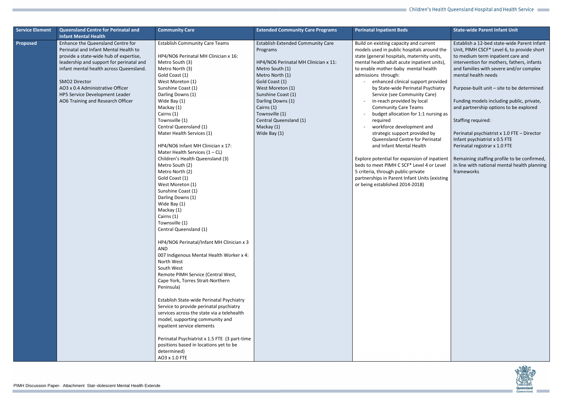| <b>Service Element</b> | Queensland Centre for Perinatal and<br><b>Infant Mental Health</b>                                                                                                                                                                                                                                                                             | <b>Community Care</b>                                                                                                                                                                                                                                                                                                                                                                                                                                                                                                                                                                                                                                                                                                                                                                                                                                                                                                                                                                                                                                                                                                                                                                                        | <b>Extended Community Care Programs</b>                                                                                                                                                                                                                                                                     | <b>Perinatal Inpatient Beds</b>                                                                                                                                                                                                                                                                                                                                                                                                                                                                                                                                                                                                                                                                                                                                                                                                  | <b>State-wide Parent Infant Unit</b>                                                                                                                                                                                                                                                                                                                                                                                                                                                                                                                                                                                                    |
|------------------------|------------------------------------------------------------------------------------------------------------------------------------------------------------------------------------------------------------------------------------------------------------------------------------------------------------------------------------------------|--------------------------------------------------------------------------------------------------------------------------------------------------------------------------------------------------------------------------------------------------------------------------------------------------------------------------------------------------------------------------------------------------------------------------------------------------------------------------------------------------------------------------------------------------------------------------------------------------------------------------------------------------------------------------------------------------------------------------------------------------------------------------------------------------------------------------------------------------------------------------------------------------------------------------------------------------------------------------------------------------------------------------------------------------------------------------------------------------------------------------------------------------------------------------------------------------------------|-------------------------------------------------------------------------------------------------------------------------------------------------------------------------------------------------------------------------------------------------------------------------------------------------------------|----------------------------------------------------------------------------------------------------------------------------------------------------------------------------------------------------------------------------------------------------------------------------------------------------------------------------------------------------------------------------------------------------------------------------------------------------------------------------------------------------------------------------------------------------------------------------------------------------------------------------------------------------------------------------------------------------------------------------------------------------------------------------------------------------------------------------------|-----------------------------------------------------------------------------------------------------------------------------------------------------------------------------------------------------------------------------------------------------------------------------------------------------------------------------------------------------------------------------------------------------------------------------------------------------------------------------------------------------------------------------------------------------------------------------------------------------------------------------------------|
| Proposed               | Enhance the Queensland Centre for<br>Perinatal and Infant Mental Health to<br>provide a state-wide hub of expertise,<br>leadership and support for perinatal and<br>infant mental health across Queensland.<br><b>SMO2 Director</b><br>AO3 x 0.4 Administrative Officer<br>HP5 Service Development Leader<br>AO6 Training and Research Officer | <b>Establish Community Care Teams</b><br>HP4/NO6 Perinatal MH Clinician x 16:<br>Metro South (3)<br>Metro North (3)<br>Gold Coast (1)<br>West Moreton (1)<br>Sunshine Coast (1)<br>Darling Downs (1)<br>Wide Bay (1)<br>Mackay (1)<br>Cairns (1)<br>Townsville (1)<br>Central Queensland (1)<br>Mater Health Services (1)<br>HP4/NO6 Infant MH Clinician x 17:<br>Mater Health Services $(1 - CL)$<br>Children's Health Queensland (3)<br>Metro South (2)<br>Metro North (2)<br>Gold Coast (1)<br>West Moreton (1)<br>Sunshine Coast (1)<br>Darling Downs (1)<br>Wide Bay (1)<br>Mackay (1)<br>Cairns (1)<br>Townsville (1)<br>Central Queensland (1)<br>HP4/NO6 Perinatal/Infant MH Clinician x 3<br>AND<br>007 Indigenous Mental Health Worker x 4:<br>North West<br>South West<br>Remote PIMH Service (Central West,<br>Cape York, Torres Strait-Northern<br>Peninsula)<br>Establish State-wide Perinatal Psychiatry<br>Service to provide perinatal psychiatry<br>services across the state via a telehealth<br>model, supporting community and<br>inpatient service elements<br>Perinatal Psychiatrist x 1.5 FTE (3 part-time<br>positions based in locations yet to be<br>determined)<br>AO3 x 1.0 FTE | <b>Establish Extended Community Care</b><br>Programs<br>HP4/NO6 Perinatal MH Clinician x 11:<br>Metro South (1)<br>Metro North (1)<br>Gold Coast (1)<br>West Moreton (1)<br>Sunshine Coast (1)<br>Darling Downs (1)<br>Cairns (1)<br>Townsville (1)<br>Central Queensland (1)<br>Mackay (1)<br>Wide Bay (1) | Build on existing capacity and current<br>models used in public hospitals around the<br>state (general hospitals, maternity units,<br>mental health adult acute inpatient units),<br>to enable mother-baby mental health<br>admissions through:<br>enhanced clinical support provided<br>by State-wide Perinatal Psychiatry<br>Service (see Community Care)<br>in-reach provided by local<br><b>Community Care Teams</b><br>budget allocation for 1:1 nursing as<br>required<br>workforce development and<br>strategic support provided by<br>Queensland Centre for Perinatal<br>and Infant Mental Health<br>Explore potential for expansion of inpatient<br>beds to meet PIMH C SCF* Level 4 or Level<br>5 criteria, through public-private<br>partnerships in Parent Infant Units (existing<br>or being established 2014-2018) | Establish a 12-bed state-wide Parent Infant<br>Unit, PIMH CSCF* Level 6, to provide short<br>to medium term inpatient care and<br>intervention for mothers, fathers, infants<br>and families with severe and/or complex<br>mental health needs<br>Purpose-built unit - site to be determined<br>Funding models including public, private,<br>and partnership options to be explored<br>Staffing required:<br>Perinatal psychiatrist x 1.0 FTE - Director<br>Infant psychiatrist x 0.5 FTE<br>Perinatal registrar x 1.0 FTE<br>Remaining staffing profile to be confirmed,<br>in line with national mental health planning<br>frameworks |
|                        |                                                                                                                                                                                                                                                                                                                                                |                                                                                                                                                                                                                                                                                                                                                                                                                                                                                                                                                                                                                                                                                                                                                                                                                                                                                                                                                                                                                                                                                                                                                                                                              |                                                                                                                                                                                                                                                                                                             |                                                                                                                                                                                                                                                                                                                                                                                                                                                                                                                                                                                                                                                                                                                                                                                                                                  | , 乳桂机合,                                                                                                                                                                                                                                                                                                                                                                                                                                                                                                                                                                                                                                 |